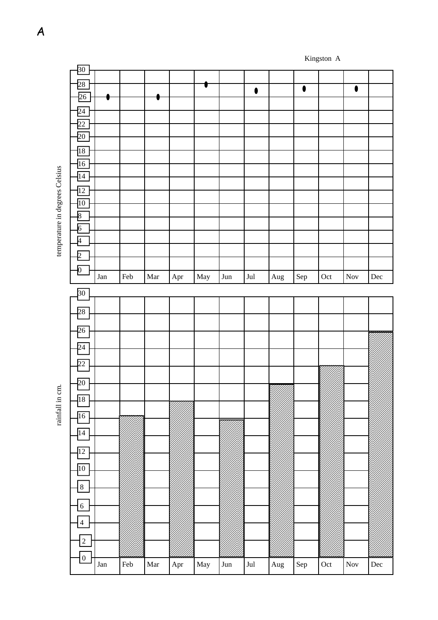|                                | $\frac{30}{2}$   |             |             |                      |            |                      |                   |                |            |             |     |                      |           |
|--------------------------------|------------------|-------------|-------------|----------------------|------------|----------------------|-------------------|----------------|------------|-------------|-----|----------------------|-----------|
|                                |                  |             |             |                      |            |                      |                   |                |            |             |     |                      |           |
|                                | 28               |             |             |                      |            |                      |                   |                |            | $\bullet$   |     | $\bullet$            |           |
|                                | $\overline{26}$  |             |             |                      |            |                      |                   | $\bullet$      |            |             |     |                      |           |
|                                |                  |             |             |                      |            |                      |                   |                |            |             |     |                      |           |
|                                | $\overline{24}$  |             |             |                      |            |                      |                   |                |            |             |     |                      |           |
|                                |                  |             |             |                      |            |                      |                   |                |            |             |     |                      |           |
|                                | $\overline{22}$  |             |             |                      |            |                      |                   |                |            |             |     |                      |           |
|                                | 20               |             |             |                      |            |                      |                   |                |            |             |     |                      |           |
|                                |                  |             |             |                      |            |                      |                   |                |            |             |     |                      |           |
|                                | 18               |             |             |                      |            |                      |                   |                |            |             |     |                      |           |
|                                |                  |             |             |                      |            |                      |                   |                |            |             |     |                      |           |
|                                | 16               |             |             |                      |            |                      |                   |                |            |             |     |                      |           |
|                                | $\overline{14}$  |             |             |                      |            |                      |                   |                |            |             |     |                      |           |
|                                |                  |             |             |                      |            |                      |                   |                |            |             |     |                      |           |
|                                | $\overline{12}$  |             |             |                      |            |                      |                   |                |            |             |     |                      |           |
|                                | 10               |             |             |                      |            |                      |                   |                |            |             |     |                      |           |
|                                |                  |             |             |                      |            |                      |                   |                |            |             |     |                      |           |
|                                | $\overline{8}$   |             |             |                      |            |                      |                   |                |            |             |     |                      |           |
|                                | $\overline{6}$   |             |             |                      |            |                      |                   |                |            |             |     |                      |           |
|                                |                  |             |             |                      |            |                      |                   |                |            |             |     |                      |           |
|                                | <sup>4</sup>     |             |             |                      |            |                      |                   |                |            |             |     |                      |           |
| temperature in degrees Celsius | $\overline{2}$   |             |             |                      |            |                      |                   |                |            |             |     |                      |           |
|                                |                  |             |             |                      |            |                      |                   |                |            |             |     |                      |           |
|                                | $\mathbf{0}$     |             |             |                      |            |                      |                   |                |            |             |     |                      |           |
|                                |                  | Jan         | Feb         | $\operatorname{Mar}$ | Apr        | May                  | Jun               | $_{\rm{Jul}}$  | $\rm{Aug}$ | Sep         | Oct | $\operatorname{Nov}$ | $\rm Dec$ |
|                                |                  |             |             |                      |            |                      |                   |                |            |             |     |                      |           |
|                                | $\overline{30}$  |             |             |                      |            |                      |                   |                |            |             |     |                      |           |
|                                |                  |             |             |                      |            |                      |                   |                |            |             |     |                      |           |
|                                | $\overline{28}$  |             |             |                      |            |                      |                   |                |            |             |     |                      |           |
|                                |                  |             |             |                      |            |                      |                   |                |            |             |     |                      |           |
|                                | 26               |             |             |                      |            |                      |                   |                |            |             |     |                      |           |
|                                |                  |             |             |                      |            |                      |                   |                |            |             |     |                      |           |
|                                | $\overline{24}$  |             |             |                      |            |                      |                   |                |            |             |     |                      |           |
|                                |                  |             |             |                      |            |                      |                   |                |            |             |     |                      |           |
|                                | $\overline{22}$  |             |             |                      |            |                      |                   |                |            |             |     |                      |           |
|                                |                  |             |             |                      |            |                      |                   |                |            |             |     |                      |           |
|                                | 20               |             |             |                      |            |                      |                   |                |            |             |     |                      |           |
| $\tan$                         |                  |             |             |                      |            |                      |                   |                |            |             |     |                      |           |
|                                | $\overline{18}$  |             |             |                      |            |                      |                   |                |            |             |     |                      |           |
|                                |                  |             |             |                      |            |                      |                   |                |            |             |     |                      |           |
| rainfall in                    | 16               |             |             |                      |            |                      |                   |                |            |             |     |                      |           |
|                                |                  |             |             |                      |            |                      |                   |                |            |             |     |                      |           |
|                                | $\overline{14}$  |             |             |                      |            |                      |                   |                |            |             |     |                      |           |
|                                |                  |             |             |                      |            |                      |                   |                |            |             |     |                      |           |
|                                | 12               |             |             |                      |            |                      |                   |                |            |             |     |                      |           |
|                                |                  |             |             |                      |            |                      |                   |                |            |             |     |                      |           |
|                                | $\overline{10}$  |             |             |                      |            |                      |                   |                |            |             |     |                      |           |
|                                |                  |             |             |                      |            |                      |                   |                |            |             |     |                      |           |
|                                | $\bf 8$          |             |             |                      |            |                      |                   |                |            |             |     |                      |           |
|                                |                  |             |             |                      |            |                      |                   |                |            |             |     |                      |           |
|                                | $\boldsymbol{6}$ |             |             |                      |            |                      |                   |                |            |             |     |                      |           |
|                                |                  |             |             |                      |            |                      |                   |                |            |             |     |                      |           |
|                                | $\overline{4}$   |             |             |                      |            |                      |                   |                |            |             |     |                      |           |
|                                |                  |             |             |                      |            |                      |                   |                |            |             |     |                      |           |
|                                |                  |             |             |                      |            |                      |                   |                |            |             |     |                      |           |
|                                | $\overline{2}$   |             |             |                      |            |                      |                   |                |            |             |     |                      |           |
|                                |                  |             |             |                      |            |                      |                   |                |            |             |     |                      |           |
|                                | $\boldsymbol{0}$ | ${\rm Jan}$ | ${\rm Feb}$ | $\operatorname{Mar}$ | $\rm{Apr}$ | $\operatorname{May}$ | $_{\mathrm{Jun}}$ | $\mathrm{Jul}$ | $\rm{Aug}$ | ${\rm Sep}$ | Oct | $\operatorname{Nov}$ | $\rm Dec$ |
|                                |                  |             |             |                      |            |                      |                   |                |            |             |     |                      |           |

Kingston A

 $C$ alcin ŀ,  $\ddot{.}$ 

 $infall$  in

A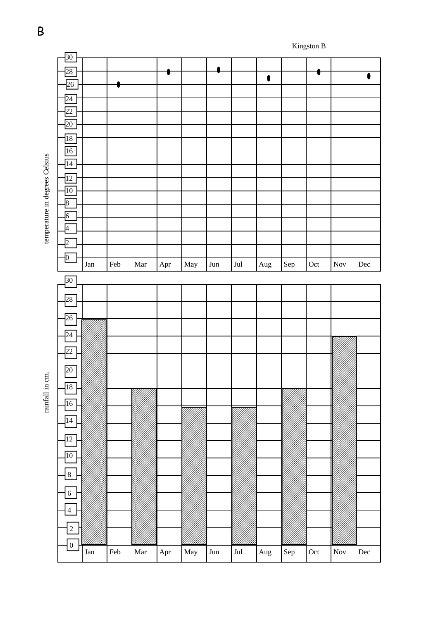

B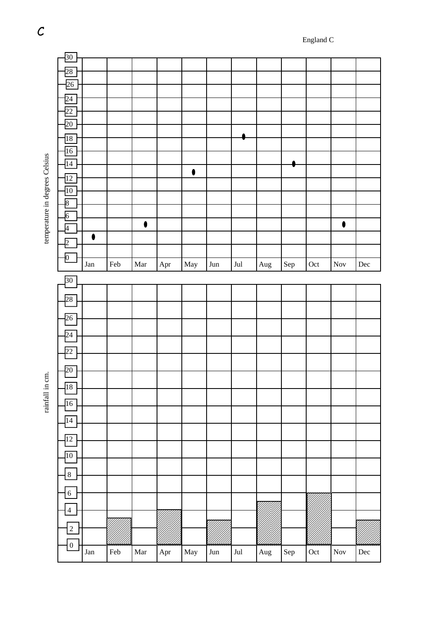|                                | $30\,$           |             |             |                      |     |                      |     |                |            |     |                             |                      |           |
|--------------------------------|------------------|-------------|-------------|----------------------|-----|----------------------|-----|----------------|------------|-----|-----------------------------|----------------------|-----------|
|                                |                  |             |             |                      |     |                      |     |                |            |     |                             |                      |           |
|                                | 28               |             |             |                      |     |                      |     |                |            |     |                             |                      |           |
|                                | $\frac{26}{5}$   |             |             |                      |     |                      |     |                |            |     |                             |                      |           |
|                                |                  |             |             |                      |     |                      |     |                |            |     |                             |                      |           |
|                                | 24               |             |             |                      |     |                      |     |                |            |     |                             |                      |           |
|                                | 22               |             |             |                      |     |                      |     |                |            |     |                             |                      |           |
|                                | $\overline{20}$  |             |             |                      |     |                      |     |                |            |     |                             |                      |           |
|                                |                  |             |             |                      |     |                      |     |                |            |     |                             |                      |           |
|                                | $\overline{18}$  |             |             |                      |     |                      |     |                |            |     |                             |                      |           |
|                                | $\overline{16}$  |             |             |                      |     |                      |     |                |            |     |                             |                      |           |
|                                |                  |             |             |                      |     |                      |     |                |            |     |                             |                      |           |
|                                | $\overline{14}$  |             |             |                      |     |                      |     |                |            |     |                             |                      |           |
|                                | 12               |             |             |                      |     | $\bullet$            |     |                |            |     |                             |                      |           |
|                                | $\overline{10}$  |             |             |                      |     |                      |     |                |            |     |                             |                      |           |
|                                |                  |             |             |                      |     |                      |     |                |            |     |                             |                      |           |
|                                | $\overline{8}$   |             |             |                      |     |                      |     |                |            |     |                             |                      |           |
|                                | $\overline{6}$   |             |             |                      |     |                      |     |                |            |     |                             |                      |           |
|                                | Ā                |             |             | $\bullet$            |     |                      |     |                |            |     |                             | $\bullet$            |           |
| temperature in degrees Celsius |                  | $\bullet$   |             |                      |     |                      |     |                |            |     |                             |                      |           |
|                                | $\overline{2}$   |             |             |                      |     |                      |     |                |            |     |                             |                      |           |
|                                | $\vert 0 \vert$  |             |             |                      |     |                      |     |                |            |     |                             |                      |           |
|                                |                  | ${\rm Jan}$ | Feb         | $\operatorname{Mar}$ | Apr | May                  | Jun | $\mathrm{Jul}$ | $\rm{Aug}$ | Sep | Oct                         | $\operatorname{Nov}$ | $\rm Dec$ |
|                                |                  |             |             |                      |     |                      |     |                |            |     |                             |                      |           |
|                                | 30               |             |             |                      |     |                      |     |                |            |     |                             |                      |           |
|                                |                  |             |             |                      |     |                      |     |                |            |     |                             |                      |           |
|                                | 28               |             |             |                      |     |                      |     |                |            |     |                             |                      |           |
|                                |                  |             |             |                      |     |                      |     |                |            |     |                             |                      |           |
|                                | $\overline{26}$  |             |             |                      |     |                      |     |                |            |     |                             |                      |           |
|                                |                  |             |             |                      |     |                      |     |                |            |     |                             |                      |           |
|                                | $\overline{24}$  |             |             |                      |     |                      |     |                |            |     |                             |                      |           |
|                                | $\overline{22}$  |             |             |                      |     |                      |     |                |            |     |                             |                      |           |
|                                |                  |             |             |                      |     |                      |     |                |            |     |                             |                      |           |
|                                | 20               |             |             |                      |     |                      |     |                |            |     |                             |                      |           |
| cm.                            |                  |             |             |                      |     |                      |     |                |            |     |                             |                      |           |
|                                | $\sqrt{18}$      |             |             |                      |     |                      |     |                |            |     |                             |                      |           |
| rainfall in                    |                  |             |             |                      |     |                      |     |                |            |     |                             |                      |           |
|                                | $\overline{16}$  |             |             |                      |     |                      |     |                |            |     |                             |                      |           |
|                                |                  |             |             |                      |     |                      |     |                |            |     |                             |                      |           |
|                                | $\overline{14}$  |             |             |                      |     |                      |     |                |            |     |                             |                      |           |
|                                |                  |             |             |                      |     |                      |     |                |            |     |                             |                      |           |
|                                | $\overline{12}$  |             |             |                      |     |                      |     |                |            |     |                             |                      |           |
|                                | $\overline{10}$  |             |             |                      |     |                      |     |                |            |     |                             |                      |           |
|                                |                  |             |             |                      |     |                      |     |                |            |     |                             |                      |           |
|                                | $8\,$            |             |             |                      |     |                      |     |                |            |     |                             |                      |           |
|                                |                  |             |             |                      |     |                      |     |                |            |     |                             |                      |           |
|                                | $\boldsymbol{6}$ |             |             |                      |     |                      |     |                |            |     |                             |                      |           |
|                                |                  |             |             |                      |     |                      |     |                |            |     |                             |                      |           |
|                                | $\overline{4}$   |             |             |                      |     |                      |     |                |            |     |                             |                      |           |
|                                |                  |             |             |                      |     |                      |     |                |            |     |                             |                      |           |
|                                | $\overline{c}$   |             |             |                      |     |                      |     |                |            |     |                             |                      |           |
|                                | $\boldsymbol{0}$ |             |             |                      |     |                      |     |                |            |     |                             |                      |           |
|                                |                  | ${\rm Jan}$ | ${\rm Feb}$ | $\operatorname{Mar}$ | Apr | $\operatorname{May}$ | Jun | $\mathrm{Jul}$ | $\rm{Aug}$ | Sep | $\mathop{\rm Oct}\nolimits$ | $\operatorname{Nov}$ | $\rm Dec$ |
|                                |                  |             |             |                      |     |                      |     |                |            |     |                             |                      |           |

 $\mathcal{C}$ 

tennerature in degrees Celsius

rainfall in cm.